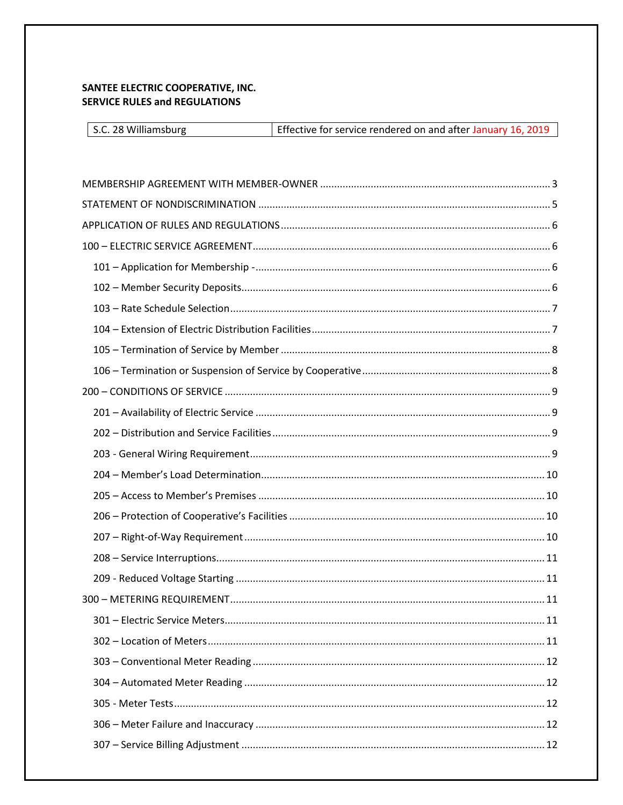# <span id="page-0-0"></span>SANTEE ELECTRIC COOPERATIVE, INC. **SERVICE RULES and REGULATIONS**

| S.C. 28 Williamsburg | Effective for service rendered on and after January 16, 2019 |
|----------------------|--------------------------------------------------------------|
|----------------------|--------------------------------------------------------------|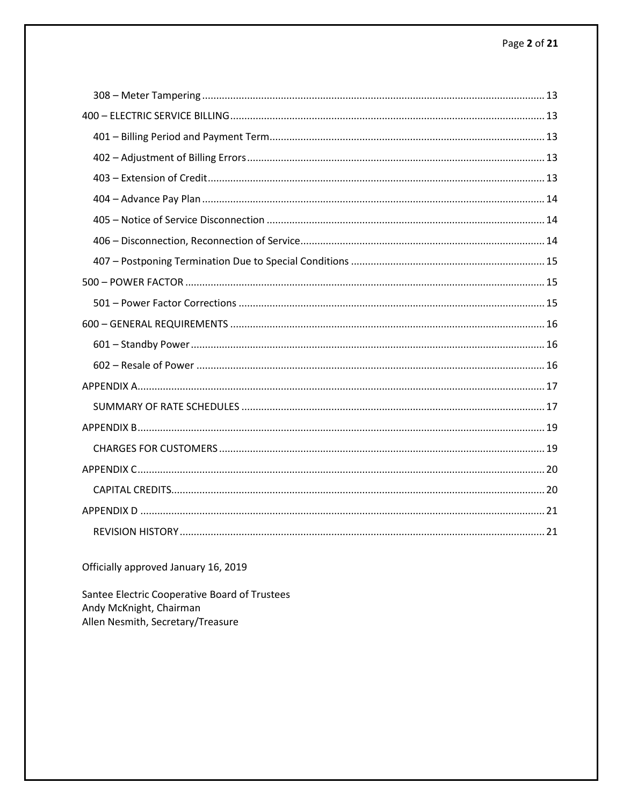Officially approved January 16, 2019

<span id="page-1-0"></span>Santee Electric Cooperative Board of Trustees Andy McKnight, Chairman Allen Nesmith, Secretary/Treasure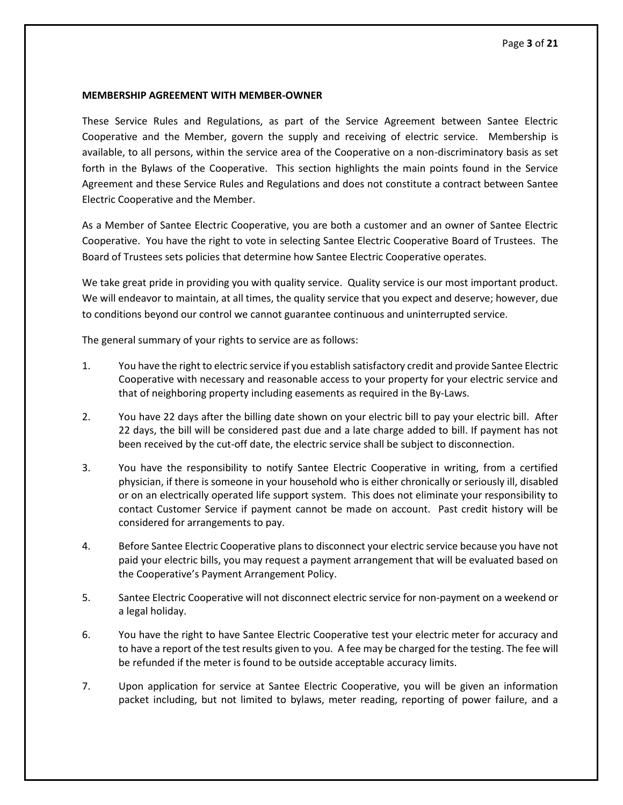#### **MEMBERSHIP AGREEMENT WITH MEMBER-OWNER**

These Service Rules and Regulations, as part of the Service Agreement between Santee Electric Cooperative and the Member, govern the supply and receiving of electric service. Membership is available, to all persons, within the service area of the Cooperative on a non-discriminatory basis as set forth in the Bylaws of the Cooperative. This section highlights the main points found in the Service Agreement and these Service Rules and Regulations and does not constitute a contract between Santee Electric Cooperative and the Member.

As a Member of Santee Electric Cooperative, you are both a customer and an owner of Santee Electric Cooperative. You have the right to vote in selecting Santee Electric Cooperative Board of Trustees. The Board of Trustees sets policies that determine how Santee Electric Cooperative operates.

We take great pride in providing you with quality service. Quality service is our most important product. We will endeavor to maintain, at all times, the quality service that you expect and deserve; however, due to conditions beyond our control we cannot guarantee continuous and uninterrupted service.

The general summary of your rights to service are as follows:

- 1. You have the right to electric service if you establish satisfactory credit and provide Santee Electric Cooperative with necessary and reasonable access to your property for your electric service and that of neighboring property including easements as required in the By-Laws.
- 2. You have 22 days after the billing date shown on your electric bill to pay your electric bill. After 22 days, the bill will be considered past due and a late charge added to bill. If payment has not been received by the cut-off date, the electric service shall be subject to disconnection.
- 3. You have the responsibility to notify Santee Electric Cooperative in writing, from a certified physician, if there is someone in your household who is either chronically or seriously ill, disabled or on an electrically operated life support system. This does not eliminate your responsibility to contact Customer Service if payment cannot be made on account. Past credit history will be considered for arrangements to pay.
- 4. Before Santee Electric Cooperative plans to disconnect your electric service because you have not paid your electric bills, you may request a payment arrangement that will be evaluated based on the Cooperative's Payment Arrangement Policy.
- 5. Santee Electric Cooperative will not disconnect electric service for non-payment on a weekend or a legal holiday.
- 6. You have the right to have Santee Electric Cooperative test your electric meter for accuracy and to have a report of the test results given to you. A fee may be charged for the testing. The fee will be refunded if the meter is found to be outside acceptable accuracy limits.
- 7. Upon application for service at Santee Electric Cooperative, you will be given an information packet including, but not limited to bylaws, meter reading, reporting of power failure, and a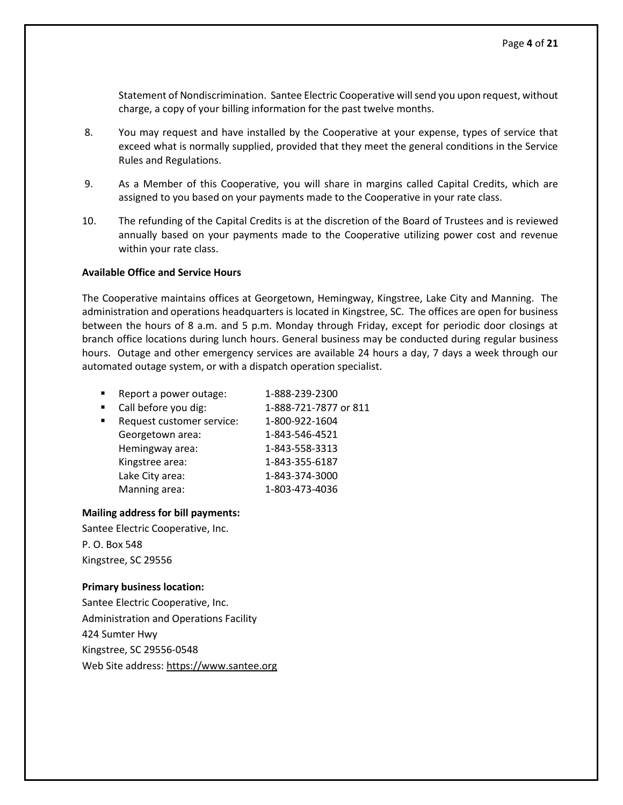Statement of Nondiscrimination. Santee Electric Cooperative will send you upon request, without charge, a copy of your billing information for the past twelve months.

- 8. You may request and have installed by the Cooperative at your expense, types of service that exceed what is normally supplied, provided that they meet the general conditions in the Service Rules and Regulations.
- 9. As a Member of this Cooperative, you will share in margins called Capital Credits, which are assigned to you based on your payments made to the Cooperative in your rate class.
- 10. The refunding of the Capital Credits is at the discretion of the Board of Trustees and is reviewed annually based on your payments made to the Cooperative utilizing power cost and revenue within your rate class.

#### **Available Office and Service Hours**

The Cooperative maintains offices at Georgetown, Hemingway, Kingstree, Lake City and Manning. The administration and operations headquarters is located in Kingstree, SC. The offices are open for business between the hours of 8 a.m. and 5 p.m. Monday through Friday, except for periodic door closings at branch office locations during lunch hours. General business may be conducted during regular business hours. Outage and other emergency services are available 24 hours a day, 7 days a week through our automated outage system, or with a dispatch operation specialist.

- Report a power outage: 1-888-239-2300
- Call before you dig: 1-888-721-7877 or 811 Request customer service: 1-800-922-1604 Georgetown area: 1-843-546-4521 Hemingway area: 1-843-558-3313 Kingstree area: 1-843-355-6187 Lake City area: 1-843-374-3000 Manning area: 1-803-473-4036

### **Mailing address for bill payments:**

Santee Electric Cooperative, Inc. P. O. Box 548 Kingstree, SC 29556

### **Primary business location:**

Santee Electric Cooperative, Inc. Administration and Operations Facility 424 Sumter Hwy Kingstree, SC 29556-0548 Web Site address: [https://www.santee.org](https://www.santee.org/)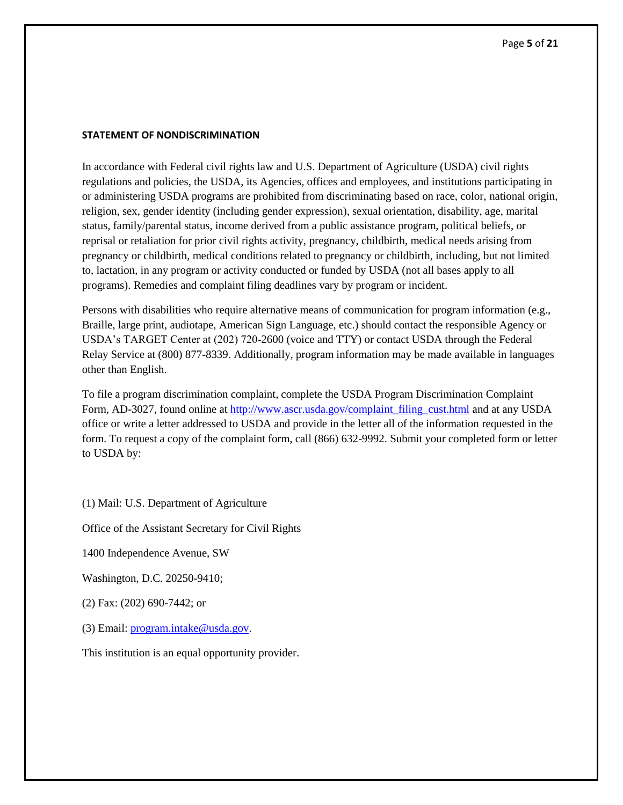### <span id="page-4-0"></span>**STATEMENT OF NONDISCRIMINATION**

In accordance with Federal civil rights law and U.S. Department of Agriculture (USDA) civil rights regulations and policies, the USDA, its Agencies, offices and employees, and institutions participating in or administering USDA programs are prohibited from discriminating based on race, color, national origin, religion, sex, gender identity (including gender expression), sexual orientation, disability, age, marital status, family/parental status, income derived from a public assistance program, political beliefs, or reprisal or retaliation for prior civil rights activity, pregnancy, childbirth, medical needs arising from pregnancy or childbirth, medical conditions related to pregnancy or childbirth, including, but not limited to, lactation, in any program or activity conducted or funded by USDA (not all bases apply to all programs). Remedies and complaint filing deadlines vary by program or incident.

Persons with disabilities who require alternative means of communication for program information (e.g., Braille, large print, audiotape, American Sign Language, etc.) should contact the responsible Agency or USDA's TARGET Center at (202) 720-2600 (voice and TTY) or contact USDA through the Federal Relay Service at (800) 877-8339. Additionally, program information may be made available in languages other than English.

To file a program discrimination complaint, complete the USDA Program Discrimination Complaint Form, AD-3027, found online at [http://www.ascr.usda.gov/complaint\\_filing\\_cust.html](http://www.ascr.usda.gov/complaint_filing_cust.html) and at any USDA office or write a letter addressed to USDA and provide in the letter all of the information requested in the form. To request a copy of the complaint form, call (866) 632-9992. Submit your completed form or letter to USDA by:

(1) Mail: U.S. Department of Agriculture

Office of the Assistant Secretary for Civil Rights

1400 Independence Avenue, SW

Washington, D.C. 20250-9410;

(2) Fax: (202) 690-7442; or

(3) Email: [program.intake@usda.gov.](mailto:program.intake@usda.gov)

This institution is an equal opportunity provider.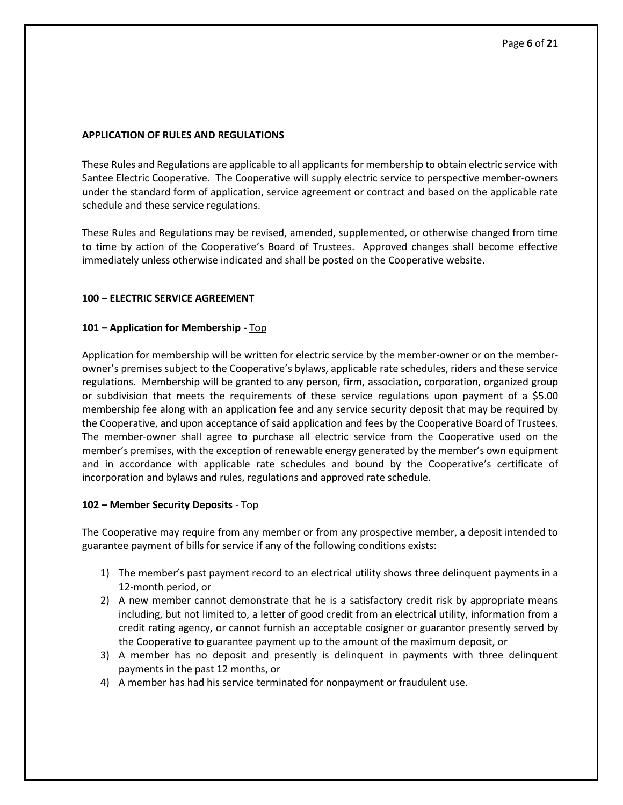## <span id="page-5-0"></span>**APPLICATION OF RULES AND REGULATIONS**

These Rules and Regulations are applicable to all applicants for membership to obtain electric service with Santee Electric Cooperative. The Cooperative will supply electric service to perspective member-owners under the standard form of application, service agreement or contract and based on the applicable rate schedule and these service regulations.

These Rules and Regulations may be revised, amended, supplemented, or otherwise changed from time to time by action of the Cooperative's Board of Trustees. Approved changes shall become effective immediately unless otherwise indicated and shall be posted on the Cooperative website.

## <span id="page-5-1"></span>**100 – ELECTRIC SERVICE AGREEMENT**

## <span id="page-5-2"></span>**101 – Application for Membership -** [Top](#page-0-0)

Application for membership will be written for electric service by the member-owner or on the memberowner's premises subject to the Cooperative's bylaws, applicable rate schedules, riders and these service regulations. Membership will be granted to any person, firm, association, corporation, organized group or subdivision that meets the requirements of these service regulations upon payment of a \$5.00 membership fee along with an application fee and any service security deposit that may be required by the Cooperative, and upon acceptance of said application and fees by the Cooperative Board of Trustees. The member-owner shall agree to purchase all electric service from the Cooperative used on the member's premises, with the exception of renewable energy generated by the member's own equipment and in accordance with applicable rate schedules and bound by the Cooperative's certificate of incorporation and bylaws and rules, regulations and approved rate schedule.

### <span id="page-5-3"></span>**102 – Member Security Deposits** - [Top](#page-0-0)

The Cooperative may require from any member or from any prospective member, a deposit intended to guarantee payment of bills for service if any of the following conditions exists:

- 1) The member's past payment record to an electrical utility shows three delinquent payments in a 12-month period, or
- 2) A new member cannot demonstrate that he is a satisfactory credit risk by appropriate means including, but not limited to, a letter of good credit from an electrical utility, information from a credit rating agency, or cannot furnish an acceptable cosigner or guarantor presently served by the Cooperative to guarantee payment up to the amount of the maximum deposit, or
- 3) A member has no deposit and presently is delinquent in payments with three delinquent payments in the past 12 months, or
- 4) A member has had his service terminated for nonpayment or fraudulent use.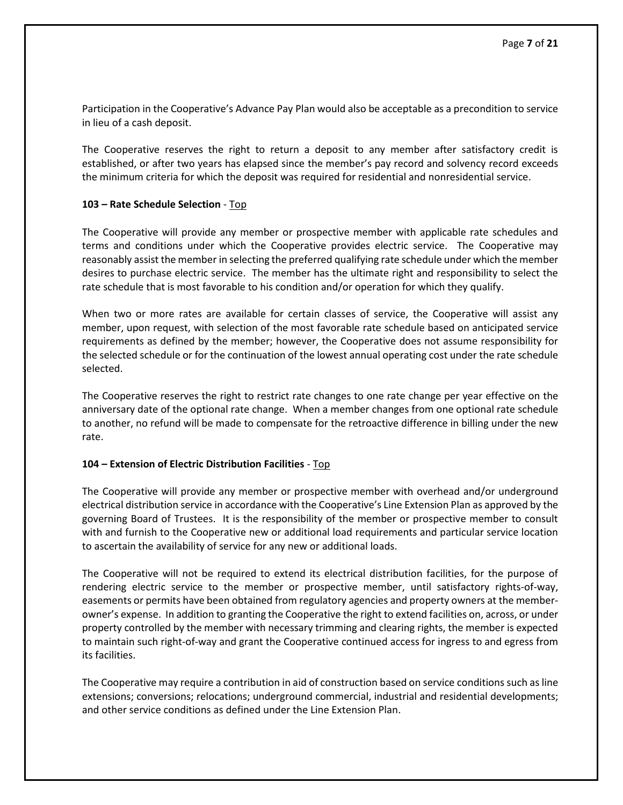Participation in the Cooperative's Advance Pay Plan would also be acceptable as a precondition to service in lieu of a cash deposit.

The Cooperative reserves the right to return a deposit to any member after satisfactory credit is established, or after two years has elapsed since the member's pay record and solvency record exceeds the minimum criteria for which the deposit was required for residential and nonresidential service.

### <span id="page-6-0"></span>**103 – Rate Schedule Selection** - [Top](#page-0-0)

The Cooperative will provide any member or prospective member with applicable rate schedules and terms and conditions under which the Cooperative provides electric service. The Cooperative may reasonably assist the member in selecting the preferred qualifying rate schedule under which the member desires to purchase electric service. The member has the ultimate right and responsibility to select the rate schedule that is most favorable to his condition and/or operation for which they qualify.

When two or more rates are available for certain classes of service, the Cooperative will assist any member, upon request, with selection of the most favorable rate schedule based on anticipated service requirements as defined by the member; however, the Cooperative does not assume responsibility for the selected schedule or for the continuation of the lowest annual operating cost under the rate schedule selected.

The Cooperative reserves the right to restrict rate changes to one rate change per year effective on the anniversary date of the optional rate change. When a member changes from one optional rate schedule to another, no refund will be made to compensate for the retroactive difference in billing under the new rate.

## <span id="page-6-1"></span>**104 – Extension of Electric Distribution Facilities** - [Top](#page-0-0)

The Cooperative will provide any member or prospective member with overhead and/or underground electrical distribution service in accordance with the Cooperative's Line Extension Plan as approved by the governing Board of Trustees. It is the responsibility of the member or prospective member to consult with and furnish to the Cooperative new or additional load requirements and particular service location to ascertain the availability of service for any new or additional loads.

The Cooperative will not be required to extend its electrical distribution facilities, for the purpose of rendering electric service to the member or prospective member, until satisfactory rights-of-way, easements or permits have been obtained from regulatory agencies and property owners at the memberowner's expense. In addition to granting the Cooperative the right to extend facilities on, across, or under property controlled by the member with necessary trimming and clearing rights, the member is expected to maintain such right-of-way and grant the Cooperative continued access for ingress to and egress from its facilities.

The Cooperative may require a contribution in aid of construction based on service conditions such as line extensions; conversions; relocations; underground commercial, industrial and residential developments; and other service conditions as defined under the Line Extension Plan.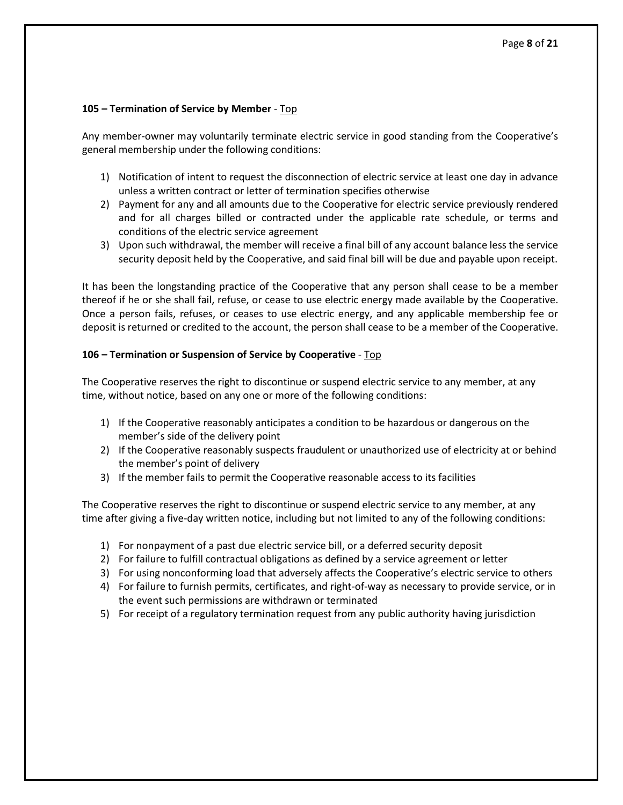## <span id="page-7-0"></span>**105 – Termination of Service by Member** - [Top](#page-0-0)

Any member-owner may voluntarily terminate electric service in good standing from the Cooperative's general membership under the following conditions:

- 1) Notification of intent to request the disconnection of electric service at least one day in advance unless a written contract or letter of termination specifies otherwise
- 2) Payment for any and all amounts due to the Cooperative for electric service previously rendered and for all charges billed or contracted under the applicable rate schedule, or terms and conditions of the electric service agreement
- 3) Upon such withdrawal, the member will receive a final bill of any account balance less the service security deposit held by the Cooperative, and said final bill will be due and payable upon receipt.

It has been the longstanding practice of the Cooperative that any person shall cease to be a member thereof if he or she shall fail, refuse, or cease to use electric energy made available by the Cooperative. Once a person fails, refuses, or ceases to use electric energy, and any applicable membership fee or deposit is returned or credited to the account, the person shall cease to be a member of the Cooperative.

## <span id="page-7-1"></span>**106 – Termination or Suspension of Service by Cooperative** - [Top](#page-0-0)

The Cooperative reserves the right to discontinue or suspend electric service to any member, at any time, without notice, based on any one or more of the following conditions:

- 1) If the Cooperative reasonably anticipates a condition to be hazardous or dangerous on the member's side of the delivery point
- 2) If the Cooperative reasonably suspects fraudulent or unauthorized use of electricity at or behind the member's point of delivery
- 3) If the member fails to permit the Cooperative reasonable access to its facilities

The Cooperative reserves the right to discontinue or suspend electric service to any member, at any time after giving a five-day written notice, including but not limited to any of the following conditions:

- 1) For nonpayment of a past due electric service bill, or a deferred security deposit
- 2) For failure to fulfill contractual obligations as defined by a service agreement or letter
- 3) For using nonconforming load that adversely affects the Cooperative's electric service to others
- 4) For failure to furnish permits, certificates, and right-of-way as necessary to provide service, or in the event such permissions are withdrawn or terminated
- <span id="page-7-2"></span>5) For receipt of a regulatory termination request from any public authority having jurisdiction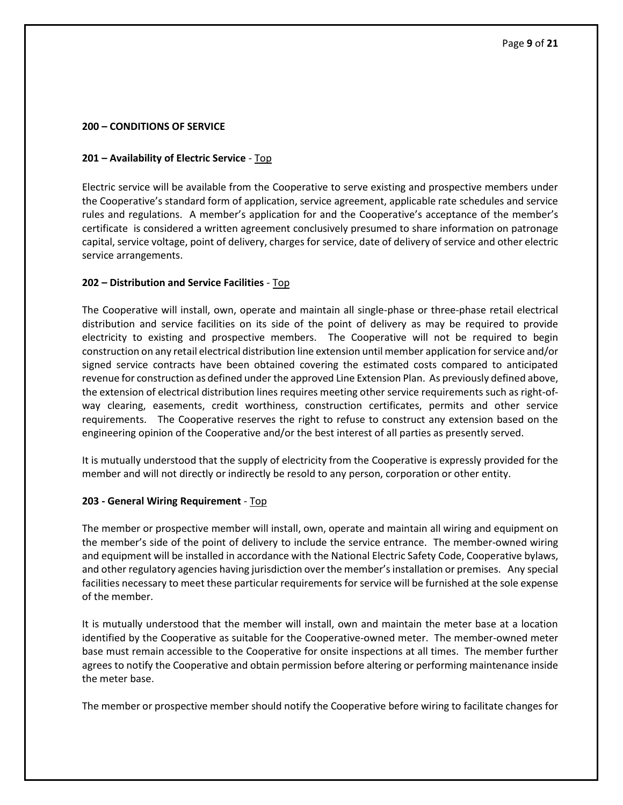### <span id="page-8-0"></span>**200 – CONDITIONS OF SERVICE**

## **201 – Availability of Electric Service** - [Top](#page-0-0)

Electric service will be available from the Cooperative to serve existing and prospective members under the Cooperative's standard form of application, service agreement, applicable rate schedules and service rules and regulations. A member's application for and the Cooperative's acceptance of the member's certificate is considered a written agreement conclusively presumed to share information on patronage capital, service voltage, point of delivery, charges for service, date of delivery of service and other electric service arrangements.

## <span id="page-8-1"></span>**202 – Distribution and Service Facilities** - [Top](#page-0-0)

The Cooperative will install, own, operate and maintain all single-phase or three-phase retail electrical distribution and service facilities on its side of the point of delivery as may be required to provide electricity to existing and prospective members. The Cooperative will not be required to begin construction on any retail electrical distribution line extension until member application for service and/or signed service contracts have been obtained covering the estimated costs compared to anticipated revenue for construction as defined under the approved Line Extension Plan. As previously defined above, the extension of electrical distribution lines requires meeting other service requirements such as right-ofway clearing, easements, credit worthiness, construction certificates, permits and other service requirements. The Cooperative reserves the right to refuse to construct any extension based on the engineering opinion of the Cooperative and/or the best interest of all parties as presently served.

It is mutually understood that the supply of electricity from the Cooperative is expressly provided for the member and will not directly or indirectly be resold to any person, corporation or other entity.

### <span id="page-8-2"></span>**203 - General Wiring Requirement** - [Top](#page-0-0)

The member or prospective member will install, own, operate and maintain all wiring and equipment on the member's side of the point of delivery to include the service entrance. The member-owned wiring and equipment will be installed in accordance with the National Electric Safety Code, Cooperative bylaws, and other regulatory agencies having jurisdiction over the member's installation or premises. Any special facilities necessary to meet these particular requirements for service will be furnished at the sole expense of the member.

It is mutually understood that the member will install, own and maintain the meter base at a location identified by the Cooperative as suitable for the Cooperative-owned meter. The member-owned meter base must remain accessible to the Cooperative for onsite inspections at all times. The member further agrees to notify the Cooperative and obtain permission before altering or performing maintenance inside the meter base.

The member or prospective member should notify the Cooperative before wiring to facilitate changes for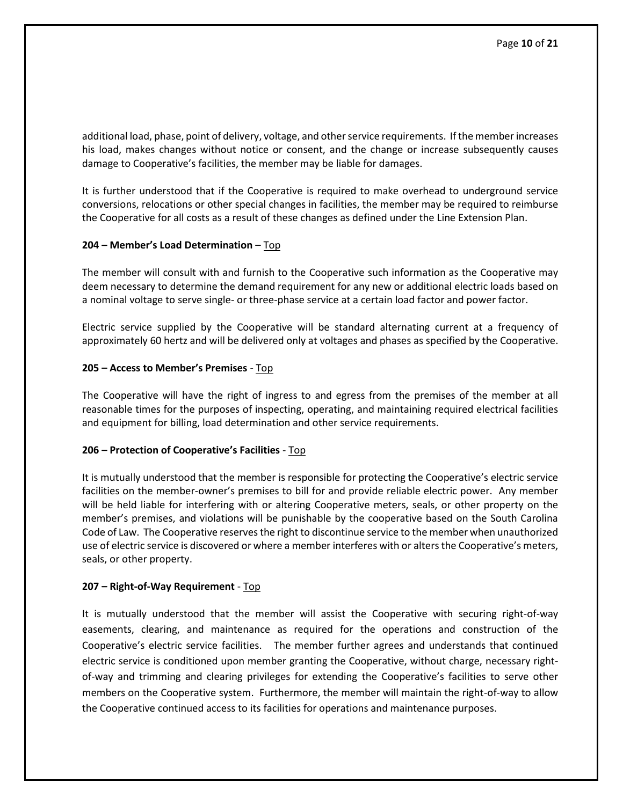additional load, phase, point of delivery, voltage, and other service requirements. If the member increases his load, makes changes without notice or consent, and the change or increase subsequently causes damage to Cooperative's facilities, the member may be liable for damages.

It is further understood that if the Cooperative is required to make overhead to underground service conversions, relocations or other special changes in facilities, the member may be required to reimburse the Cooperative for all costs as a result of these changes as defined under the Line Extension Plan.

## <span id="page-9-0"></span>**204 – Member's Load Determination** – [Top](#page-0-0)

The member will consult with and furnish to the Cooperative such information as the Cooperative may deem necessary to determine the demand requirement for any new or additional electric loads based on a nominal voltage to serve single- or three-phase service at a certain load factor and power factor.

Electric service supplied by the Cooperative will be standard alternating current at a frequency of approximately 60 hertz and will be delivered only at voltages and phases as specified by the Cooperative.

## <span id="page-9-1"></span>**205 – Access to Member's Premises** - [Top](#page-0-0)

The Cooperative will have the right of ingress to and egress from the premises of the member at all reasonable times for the purposes of inspecting, operating, and maintaining required electrical facilities and equipment for billing, load determination and other service requirements.

## <span id="page-9-2"></span>**206 – Protection of Cooperative's Facilities** - [Top](#page-0-0)

It is mutually understood that the member is responsible for protecting the Cooperative's electric service facilities on the member-owner's premises to bill for and provide reliable electric power. Any member will be held liable for interfering with or altering Cooperative meters, seals, or other property on the member's premises, and violations will be punishable by the cooperative based on the South Carolina Code of Law. The Cooperative reserves the right to discontinue service to the member when unauthorized use of electric service is discovered or where a member interferes with or alters the Cooperative's meters, seals, or other property.

### <span id="page-9-3"></span>**207 – Right-of-Way Requirement** - [Top](#page-0-0)

It is mutually understood that the member will assist the Cooperative with securing right-of-way easements, clearing, and maintenance as required for the operations and construction of the Cooperative's electric service facilities. The member further agrees and understands that continued electric service is conditioned upon member granting the Cooperative, without charge, necessary rightof-way and trimming and clearing privileges for extending the Cooperative's facilities to serve other members on the Cooperative system. Furthermore, the member will maintain the right-of-way to allow the Cooperative continued access to its facilities for operations and maintenance purposes.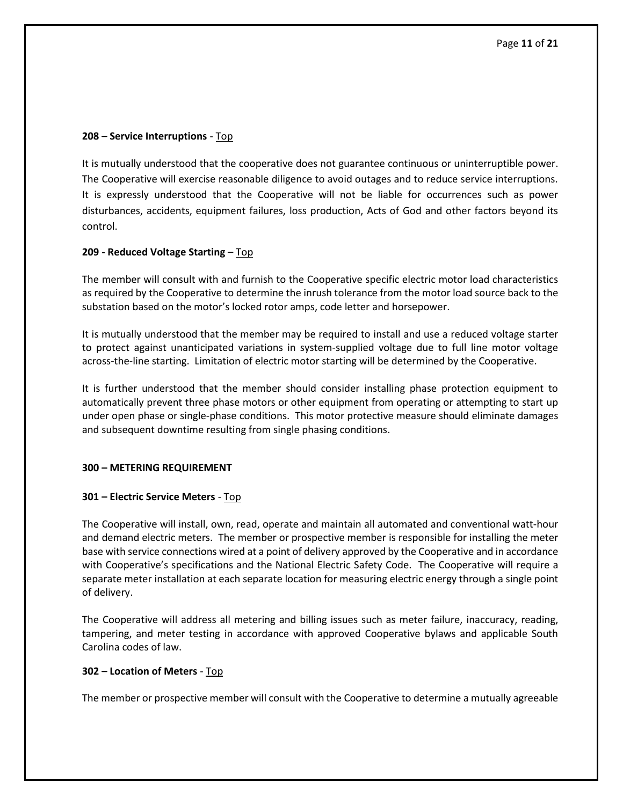## <span id="page-10-0"></span>**208 – Service Interruptions** - [Top](#page-0-0)

It is mutually understood that the cooperative does not guarantee continuous or uninterruptible power. The Cooperative will exercise reasonable diligence to avoid outages and to reduce service interruptions. It is expressly understood that the Cooperative will not be liable for occurrences such as power disturbances, accidents, equipment failures, loss production, Acts of God and other factors beyond its control.

## <span id="page-10-1"></span>**209 - Reduced Voltage Starting** – [Top](#page-0-0)

The member will consult with and furnish to the Cooperative specific electric motor load characteristics as required by the Cooperative to determine the inrush tolerance from the motor load source back to the substation based on the motor's locked rotor amps, code letter and horsepower.

It is mutually understood that the member may be required to install and use a reduced voltage starter to protect against unanticipated variations in system-supplied voltage due to full line motor voltage across-the-line starting. Limitation of electric motor starting will be determined by the Cooperative.

It is further understood that the member should consider installing phase protection equipment to automatically prevent three phase motors or other equipment from operating or attempting to start up under open phase or single-phase conditions. This motor protective measure should eliminate damages and subsequent downtime resulting from single phasing conditions.

### <span id="page-10-2"></span>**300 – METERING REQUIREMENT**

### <span id="page-10-3"></span>**301 – Electric Service Meters** - [Top](#page-0-0)

The Cooperative will install, own, read, operate and maintain all automated and conventional watt-hour and demand electric meters. The member or prospective member is responsible for installing the meter base with service connections wired at a point of delivery approved by the Cooperative and in accordance with Cooperative's specifications and the National Electric Safety Code. The Cooperative will require a separate meter installation at each separate location for measuring electric energy through a single point of delivery.

The Cooperative will address all metering and billing issues such as meter failure, inaccuracy, reading, tampering, and meter testing in accordance with approved Cooperative bylaws and applicable South Carolina codes of law.

## <span id="page-10-4"></span>**302 – Location of Meters** - [Top](#page-0-0)

The member or prospective member will consult with the Cooperative to determine a mutually agreeable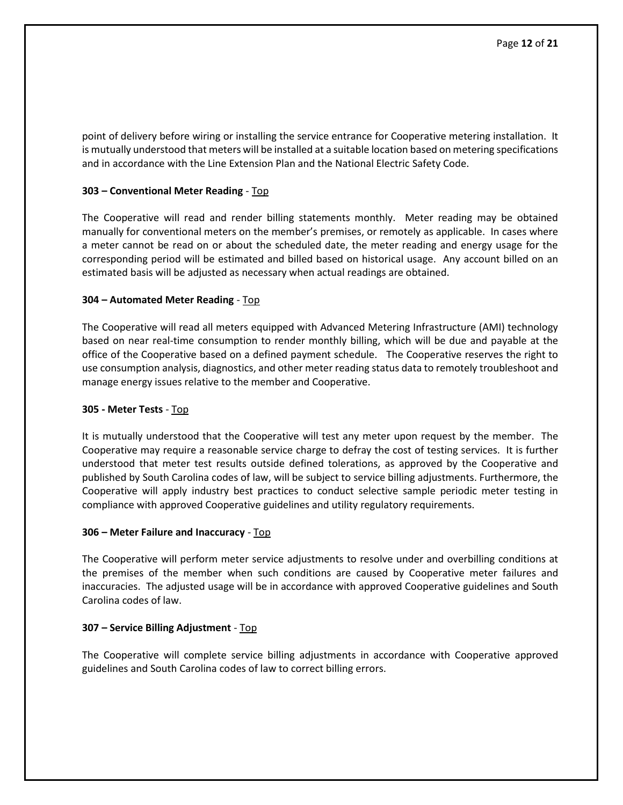point of delivery before wiring or installing the service entrance for Cooperative metering installation. It is mutually understood that meters will be installed at a suitable location based on metering specifications and in accordance with the Line Extension Plan and the National Electric Safety Code.

## <span id="page-11-0"></span>**303 – Conventional Meter Reading** - [Top](#page-0-0)

The Cooperative will read and render billing statements monthly. Meter reading may be obtained manually for conventional meters on the member's premises, or remotely as applicable. In cases where a meter cannot be read on or about the scheduled date, the meter reading and energy usage for the corresponding period will be estimated and billed based on historical usage. Any account billed on an estimated basis will be adjusted as necessary when actual readings are obtained.

## <span id="page-11-1"></span>**304 – Automated Meter Reading** - [Top](#page-0-0)

The Cooperative will read all meters equipped with Advanced Metering Infrastructure (AMI) technology based on near real-time consumption to render monthly billing, which will be due and payable at the office of the Cooperative based on a defined payment schedule. The Cooperative reserves the right to use consumption analysis, diagnostics, and other meter reading status data to remotely troubleshoot and manage energy issues relative to the member and Cooperative.

### <span id="page-11-2"></span>**305 - Meter Tests** - [Top](#page-0-0)

It is mutually understood that the Cooperative will test any meter upon request by the member. The Cooperative may require a reasonable service charge to defray the cost of testing services. It is further understood that meter test results outside defined tolerations, as approved by the Cooperative and published by South Carolina codes of law, will be subject to service billing adjustments. Furthermore, the Cooperative will apply industry best practices to conduct selective sample periodic meter testing in compliance with approved Cooperative guidelines and utility regulatory requirements.

### <span id="page-11-3"></span>**306 – Meter Failure and Inaccuracy** - [Top](#page-0-0)

The Cooperative will perform meter service adjustments to resolve under and overbilling conditions at the premises of the member when such conditions are caused by Cooperative meter failures and inaccuracies. The adjusted usage will be in accordance with approved Cooperative guidelines and South Carolina codes of law.

### <span id="page-11-4"></span>**307 – Service Billing Adjustment** - [Top](#page-0-0)

<span id="page-11-5"></span>The Cooperative will complete service billing adjustments in accordance with Cooperative approved guidelines and South Carolina codes of law to correct billing errors.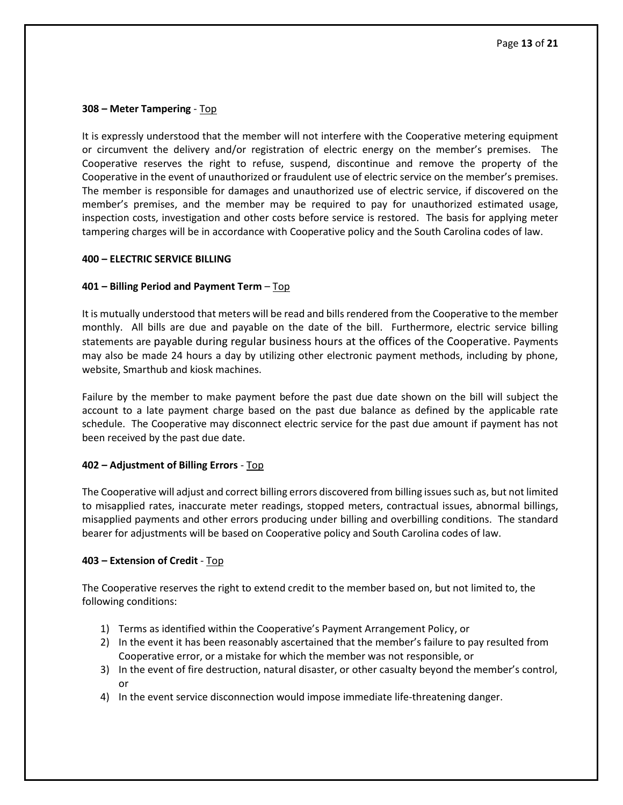## **308 – Meter Tampering** - [Top](#page-0-0)

It is expressly understood that the member will not interfere with the Cooperative metering equipment or circumvent the delivery and/or registration of electric energy on the member's premises. The Cooperative reserves the right to refuse, suspend, discontinue and remove the property of the Cooperative in the event of unauthorized or fraudulent use of electric service on the member's premises. The member is responsible for damages and unauthorized use of electric service, if discovered on the member's premises, and the member may be required to pay for unauthorized estimated usage, inspection costs, investigation and other costs before service is restored. The basis for applying meter tampering charges will be in accordance with Cooperative policy and the South Carolina codes of law.

### <span id="page-12-0"></span>**400 – ELECTRIC SERVICE BILLING**

## <span id="page-12-1"></span>**401 – Billing Period and Payment Term** – [Top](#page-0-0)

It is mutually understood that meters will be read and bills rendered from the Cooperative to the member monthly. All bills are due and payable on the date of the bill. Furthermore, electric service billing statements are payable during regular business hours at the offices of the Cooperative. Payments may also be made 24 hours a day by utilizing other electronic payment methods, including by phone, website, Smarthub and kiosk machines.

Failure by the member to make payment before the past due date shown on the bill will subject the account to a late payment charge based on the past due balance as defined by the applicable rate schedule. The Cooperative may disconnect electric service for the past due amount if payment has not been received by the past due date.

### <span id="page-12-2"></span>**402 – Adjustment of Billing Errors** - [Top](#page-0-0)

The Cooperative will adjust and correct billing errors discovered from billing issues such as, but not limited to misapplied rates, inaccurate meter readings, stopped meters, contractual issues, abnormal billings, misapplied payments and other errors producing under billing and overbilling conditions. The standard bearer for adjustments will be based on Cooperative policy and South Carolina codes of law.

### <span id="page-12-3"></span>**403 – Extension of Credit** - [Top](#page-0-0)

The Cooperative reserves the right to extend credit to the member based on, but not limited to, the following conditions:

- 1) Terms as identified within the Cooperative's Payment Arrangement Policy, or
- 2) In the event it has been reasonably ascertained that the member's failure to pay resulted from Cooperative error, or a mistake for which the member was not responsible, or
- 3) In the event of fire destruction, natural disaster, or other casualty beyond the member's control, or
- 4) In the event service disconnection would impose immediate life-threatening danger.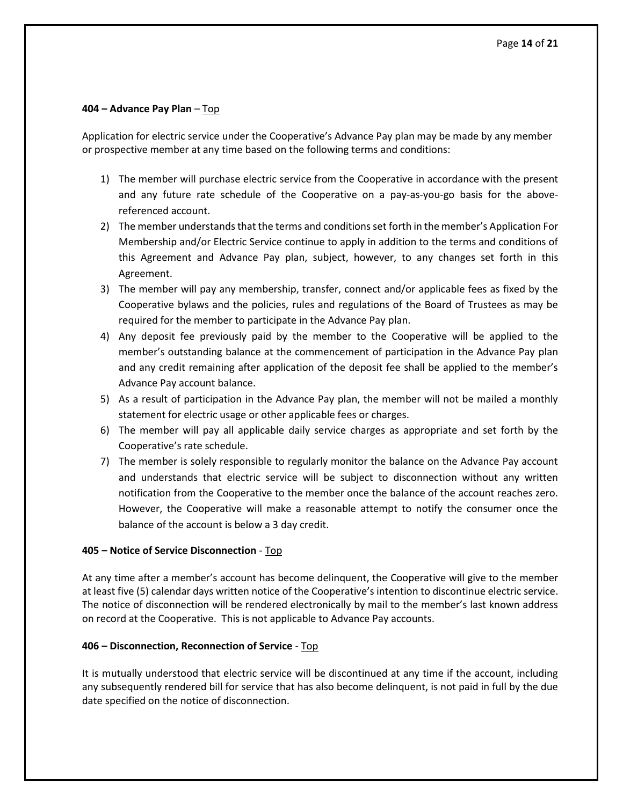## <span id="page-13-0"></span>**404 – Advance Pay Plan** – Top

Application for electric service under the Cooperative's Advance Pay plan may be made by any member or prospective member at any time based on the following terms and conditions:

- 1) The member will purchase electric service from the Cooperative in accordance with the present and any future rate schedule of the Cooperative on a pay-as-you-go basis for the abovereferenced account.
- 2) The member understands that the terms and conditions set forth in the member's Application For Membership and/or Electric Service continue to apply in addition to the terms and conditions of this Agreement and Advance Pay plan, subject, however, to any changes set forth in this Agreement.
- 3) The member will pay any membership, transfer, connect and/or applicable fees as fixed by the Cooperative bylaws and the policies, rules and regulations of the Board of Trustees as may be required for the member to participate in the Advance Pay plan.
- 4) Any deposit fee previously paid by the member to the Cooperative will be applied to the member's outstanding balance at the commencement of participation in the Advance Pay plan and any credit remaining after application of the deposit fee shall be applied to the member's Advance Pay account balance.
- 5) As a result of participation in the Advance Pay plan, the member will not be mailed a monthly statement for electric usage or other applicable fees or charges.
- 6) The member will pay all applicable daily service charges as appropriate and set forth by the Cooperative's rate schedule.
- 7) The member is solely responsible to regularly monitor the balance on the Advance Pay account and understands that electric service will be subject to disconnection without any written notification from the Cooperative to the member once the balance of the account reaches zero. However, the Cooperative will make a reasonable attempt to notify the consumer once the balance of the account is below a 3 day credit.

## <span id="page-13-1"></span>**405 – Notice of Service Disconnection** - [Top](#page-0-0)

At any time after a member's account has become delinquent, the Cooperative will give to the member at least five (5) calendar days written notice of the Cooperative's intention to discontinue electric service. The notice of disconnection will be rendered electronically by mail to the member's last known address on record at the Cooperative. This is not applicable to Advance Pay accounts.

### <span id="page-13-2"></span>**406 – Disconnection, Reconnection of Service** - [Top](#page-0-0)

It is mutually understood that electric service will be discontinued at any time if the account, including any subsequently rendered bill for service that has also become delinquent, is not paid in full by the due date specified on the notice of disconnection.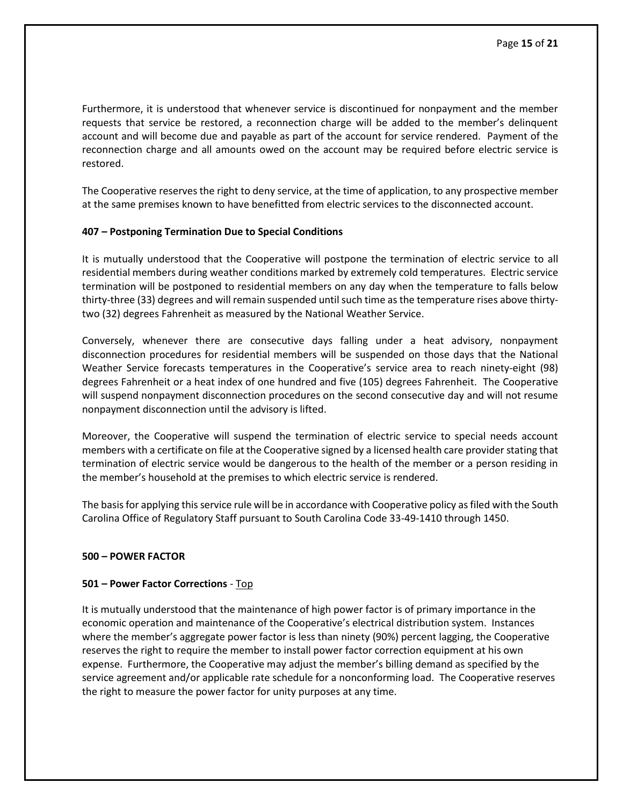Furthermore, it is understood that whenever service is discontinued for nonpayment and the member requests that service be restored, a reconnection charge will be added to the member's delinquent account and will become due and payable as part of the account for service rendered. Payment of the reconnection charge and all amounts owed on the account may be required before electric service is restored.

The Cooperative reserves the right to deny service, at the time of application, to any prospective member at the same premises known to have benefitted from electric services to the disconnected account.

## <span id="page-14-0"></span>**407 – Postponing Termination Due to Special Conditions**

It is mutually understood that the Cooperative will postpone the termination of electric service to all residential members during weather conditions marked by extremely cold temperatures. Electric service termination will be postponed to residential members on any day when the temperature to falls below thirty-three (33) degrees and will remain suspended until such time as the temperature rises above thirtytwo (32) degrees Fahrenheit as measured by the National Weather Service.

Conversely, whenever there are consecutive days falling under a heat advisory, nonpayment disconnection procedures for residential members will be suspended on those days that the National Weather Service forecasts temperatures in the Cooperative's service area to reach ninety-eight (98) degrees Fahrenheit or a heat index of one hundred and five (105) degrees Fahrenheit. The Cooperative will suspend nonpayment disconnection procedures on the second consecutive day and will not resume nonpayment disconnection until the advisory is lifted.

Moreover, the Cooperative will suspend the termination of electric service to special needs account members with a certificate on file at the Cooperative signed by a licensed health care provider stating that termination of electric service would be dangerous to the health of the member or a person residing in the member's household at the premises to which electric service is rendered.

<span id="page-14-1"></span>The basis for applying this service rule will be in accordance with Cooperative policy as filed with the South Carolina Office of Regulatory Staff pursuant to South Carolina Code 33-49-1410 through 1450.

### **500 – POWER FACTOR**

### <span id="page-14-2"></span>**501 – Power Factor Corrections** - [Top](#page-0-0)

It is mutually understood that the maintenance of high power factor is of primary importance in the economic operation and maintenance of the Cooperative's electrical distribution system. Instances where the member's aggregate power factor is less than ninety (90%) percent lagging, the Cooperative reserves the right to require the member to install power factor correction equipment at his own expense. Furthermore, the Cooperative may adjust the member's billing demand as specified by the service agreement and/or applicable rate schedule for a nonconforming load. The Cooperative reserves the right to measure the power factor for unity purposes at any time.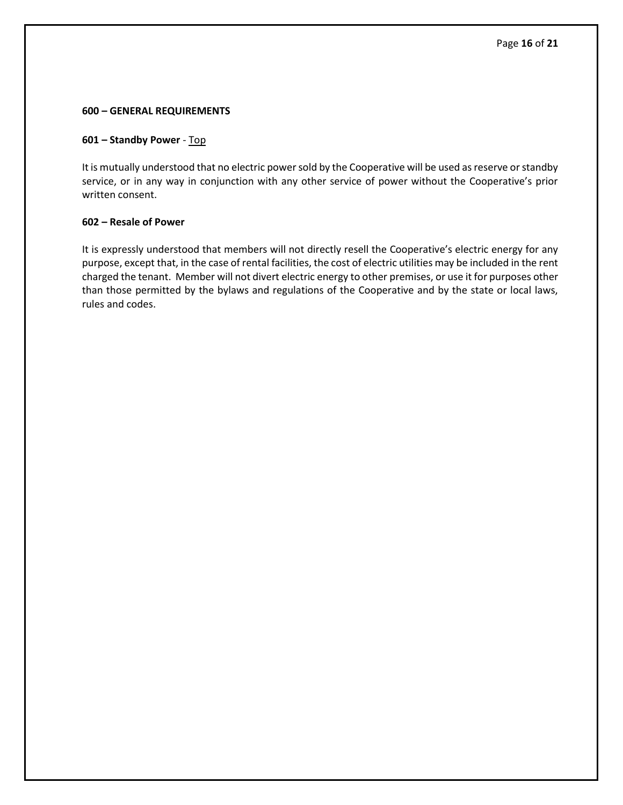#### <span id="page-15-0"></span>**600 – GENERAL REQUIREMENTS**

## <span id="page-15-1"></span>**601 – Standby Power** - [Top](#page-0-0)

It is mutually understood that no electric power sold by the Cooperative will be used as reserve or standby service, or in any way in conjunction with any other service of power without the Cooperative's prior written consent.

### <span id="page-15-2"></span>**602 – Resale of Power**

It is expressly understood that members will not directly resell the Cooperative's electric energy for any purpose, except that, in the case of rental facilities, the cost of electric utilities may be included in the rent charged the tenant. Member will not divert electric energy to other premises, or use it for purposes other than those permitted by the bylaws and regulations of the Cooperative and by the state or local laws, rules and codes.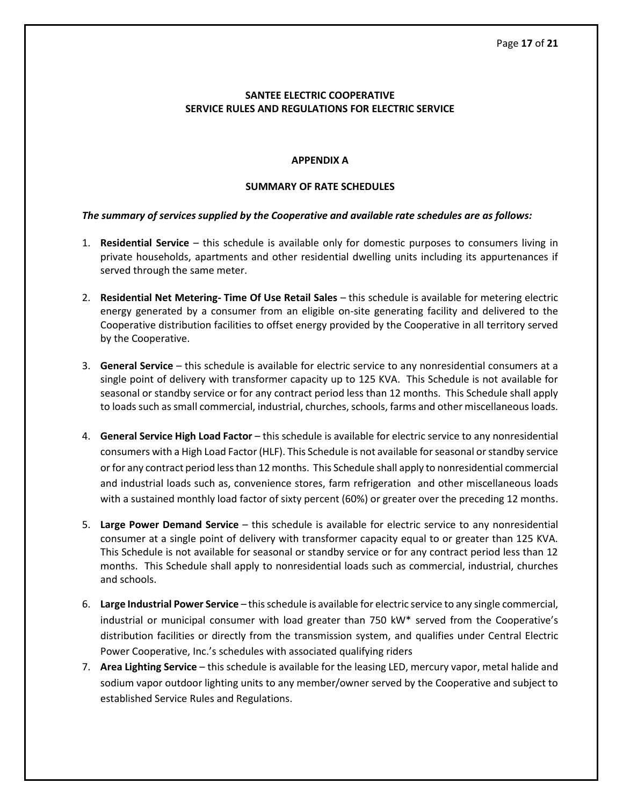## **SANTEE ELECTRIC COOPERATIVE SERVICE RULES AND REGULATIONS FOR ELECTRIC SERVICE**

## <span id="page-16-0"></span>**APPENDIX A**

## **SUMMARY OF RATE SCHEDULES**

## <span id="page-16-1"></span>*The summary of services supplied by the Cooperative and available rate schedules are as follows:*

- 1. **Residential Service** this schedule is available only for domestic purposes to consumers living in private households, apartments and other residential dwelling units including its appurtenances if served through the same meter.
- 2. **Residential Net Metering- Time Of Use Retail Sales** this schedule is available for metering electric energy generated by a consumer from an eligible on-site generating facility and delivered to the Cooperative distribution facilities to offset energy provided by the Cooperative in all territory served by the Cooperative.
- 3. **General Service** this schedule is available for electric service to any nonresidential consumers at a single point of delivery with transformer capacity up to 125 KVA. This Schedule is not available for seasonal or standby service or for any contract period less than 12 months. This Schedule shall apply to loads such as small commercial, industrial, churches, schools, farms and other miscellaneous loads.
- 4. **General Service High Load Factor** this schedule is available for electric service to any nonresidential consumers with a High Load Factor (HLF). This Schedule is not available for seasonal or standby service or for any contract period less than 12 months. This Schedule shall apply to nonresidential commercial and industrial loads such as, convenience stores, farm refrigeration and other miscellaneous loads with a sustained monthly load factor of sixty percent (60%) or greater over the preceding 12 months.
- 5. **Large Power Demand Service** this schedule is available for electric service to any nonresidential consumer at a single point of delivery with transformer capacity equal to or greater than 125 KVA. This Schedule is not available for seasonal or standby service or for any contract period less than 12 months. This Schedule shall apply to nonresidential loads such as commercial, industrial, churches and schools.
- 6. **Large Industrial Power Service** this schedule is available for electric service to any single commercial, industrial or municipal consumer with load greater than 750 kW\* served from the Cooperative's distribution facilities or directly from the transmission system, and qualifies under Central Electric Power Cooperative, Inc.'s schedules with associated qualifying riders
- 7. **Area Lighting Service** this schedule is available for the leasing LED, mercury vapor, metal halide and sodium vapor outdoor lighting units to any member/owner served by the Cooperative and subject to established Service Rules and Regulations.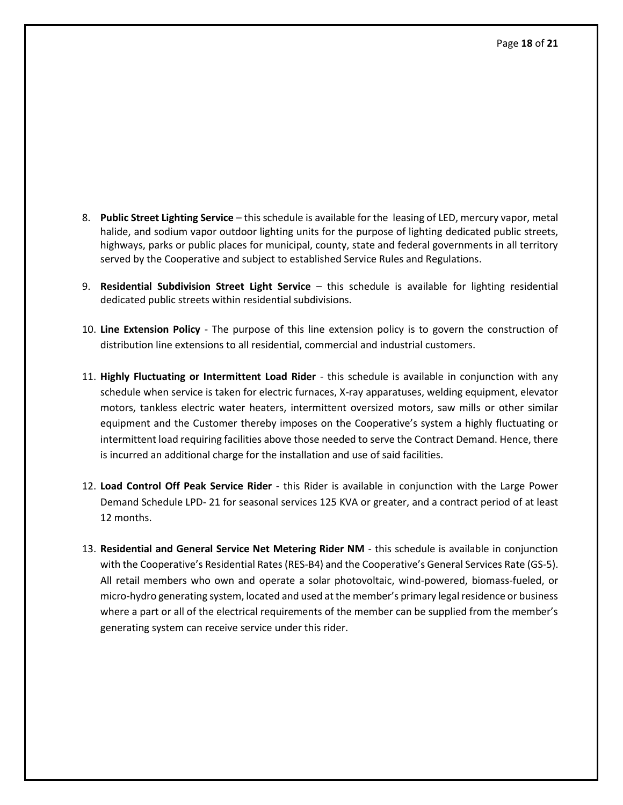- 8. **Public Street Lighting Service** this schedule is available for the leasing of LED, mercury vapor, metal halide, and sodium vapor outdoor lighting units for the purpose of lighting dedicated public streets, highways, parks or public places for municipal, county, state and federal governments in all territory served by the Cooperative and subject to established Service Rules and Regulations.
- 9. **Residential Subdivision Street Light Service** this schedule is available for lighting residential dedicated public streets within residential subdivisions.
- 10. **Line Extension Policy** The purpose of this line extension policy is to govern the construction of distribution line extensions to all residential, commercial and industrial customers.
- 11. **Highly Fluctuating or Intermittent Load Rider** this schedule is available in conjunction with any schedule when service is taken for electric furnaces, X-ray apparatuses, welding equipment, elevator motors, tankless electric water heaters, intermittent oversized motors, saw mills or other similar equipment and the Customer thereby imposes on the Cooperative's system a highly fluctuating or intermittent load requiring facilities above those needed to serve the Contract Demand. Hence, there is incurred an additional charge for the installation and use of said facilities.
- 12. **Load Control Off Peak Service Rider** this Rider is available in conjunction with the Large Power Demand Schedule LPD- 21 for seasonal services 125 KVA or greater, and a contract period of at least 12 months.
- 13. **Residential and General Service Net Metering Rider NM** this schedule is available in conjunction with the Cooperative's Residential Rates (RES-B4) and the Cooperative's General Services Rate (GS-5). All retail members who own and operate a solar photovoltaic, wind-powered, biomass-fueled, or micro-hydro generating system, located and used at the member's primary legal residence or business where a part or all of the electrical requirements of the member can be supplied from the member's generating system can receive service under this rider.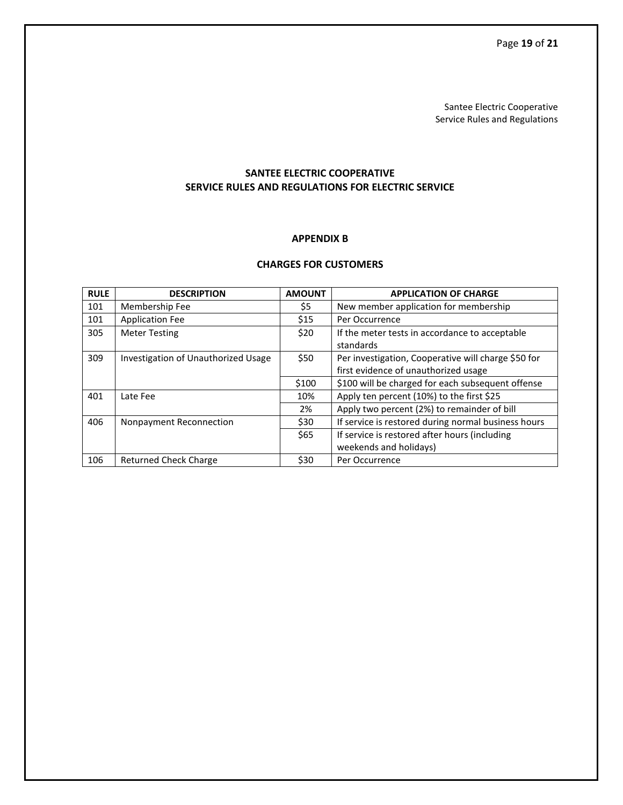Santee Electric Cooperative Service Rules and Regulations

## **SANTEE ELECTRIC COOPERATIVE SERVICE RULES AND REGULATIONS FOR ELECTRIC SERVICE**

### **APPENDIX B**

## **CHARGES FOR CUSTOMERS**

<span id="page-18-1"></span><span id="page-18-0"></span>

| <b>RULE</b> | <b>DESCRIPTION</b>                  | <b>AMOUNT</b> | <b>APPLICATION OF CHARGE</b>                        |
|-------------|-------------------------------------|---------------|-----------------------------------------------------|
| 101         | Membership Fee                      | \$5           | New member application for membership               |
| 101         | <b>Application Fee</b>              | \$15          | Per Occurrence                                      |
| 305         | <b>Meter Testing</b>                | \$20          | If the meter tests in accordance to acceptable      |
|             |                                     |               | standards                                           |
| 309         | Investigation of Unauthorized Usage | \$50          | Per investigation, Cooperative will charge \$50 for |
|             |                                     |               | first evidence of unauthorized usage                |
|             |                                     | \$100         | \$100 will be charged for each subsequent offense   |
| 401         | Late Fee                            | 10%           | Apply ten percent (10%) to the first \$25           |
|             |                                     | 2%            | Apply two percent (2%) to remainder of bill         |
| 406         | Nonpayment Reconnection             | \$30          | If service is restored during normal business hours |
|             |                                     | \$65          | If service is restored after hours (including       |
|             |                                     |               | weekends and holidays)                              |
| 106         | <b>Returned Check Charge</b>        | \$30          | Per Occurrence                                      |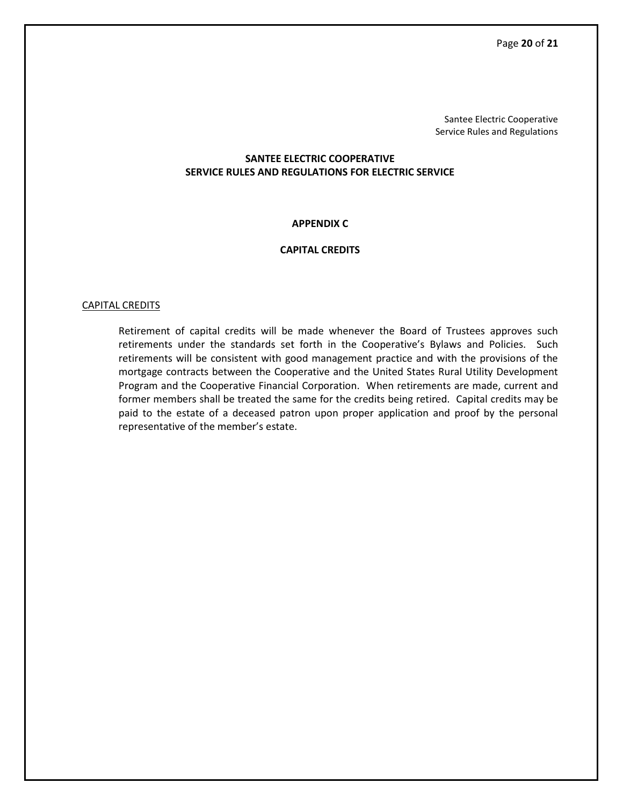Santee Electric Cooperative Service Rules and Regulations

## **SANTEE ELECTRIC COOPERATIVE SERVICE RULES AND REGULATIONS FOR ELECTRIC SERVICE**

## **APPENDIX C**

#### **CAPITAL CREDITS**

#### <span id="page-19-1"></span><span id="page-19-0"></span>CAPITAL CREDITS

Retirement of capital credits will be made whenever the Board of Trustees approves such retirements under the standards set forth in the Cooperative's Bylaws and Policies. Such retirements will be consistent with good management practice and with the provisions of the mortgage contracts between the Cooperative and the United States Rural Utility Development Program and the Cooperative Financial Corporation. When retirements are made, current and former members shall be treated the same for the credits being retired. Capital credits may be paid to the estate of a deceased patron upon proper application and proof by the personal representative of the member's estate.